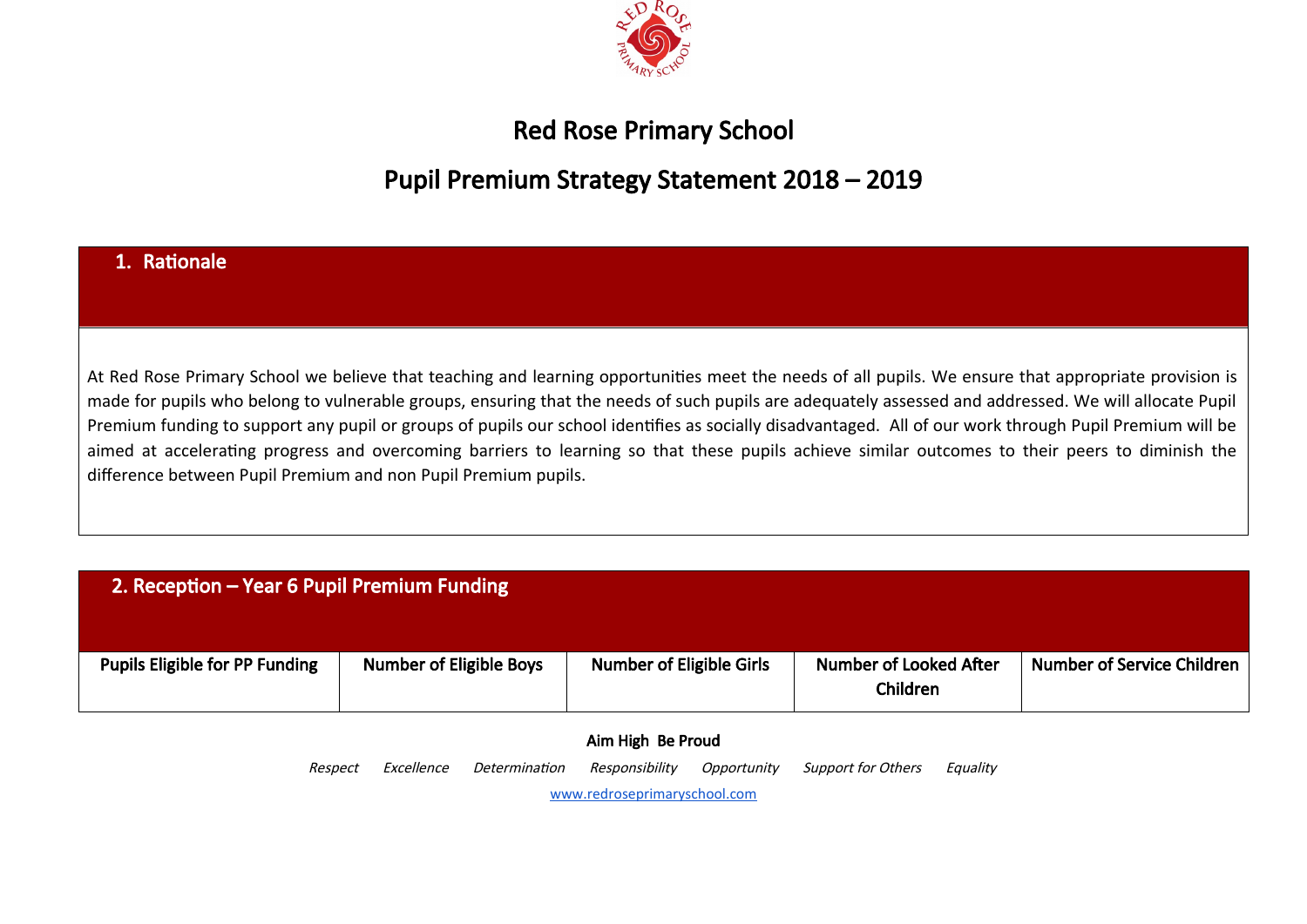

## Red Rose Primary School

## Pupil Premium Strategy Statement 2018 – 2019

#### 1. Rationale

At Red Rose Primary School we believe that teaching and learning opportunities meet the needs of all pupils. We ensure that appropriate provision is made for pupils who belong to vulnerable groups, ensuring that the needs of such pupils are adequately assessed and addressed. We will allocate Pupil Premium funding to support any pupil or groups of pupils our school identifies as socially disadvantaged. All of our work through Pupil Premium will be aimed at accelerating progress and overcoming barriers to learning so that these pupils achieve similar outcomes to their peers to diminish the difference between Pupil Premium and non Pupil Premium pupils.

#### 2. Reception – Year 6 Pupil Premium Funding

| <b>Pupils Eligible for PP Funding</b> | <b>Number of Eligible Boys</b> | <b>Number of Eligible Girls</b> | Number of Looked After<br>Children | Number of Service Children |
|---------------------------------------|--------------------------------|---------------------------------|------------------------------------|----------------------------|

# Aim High Be Proud

Respect Excellence Determination Responsibility Opportunity Support for Others Equality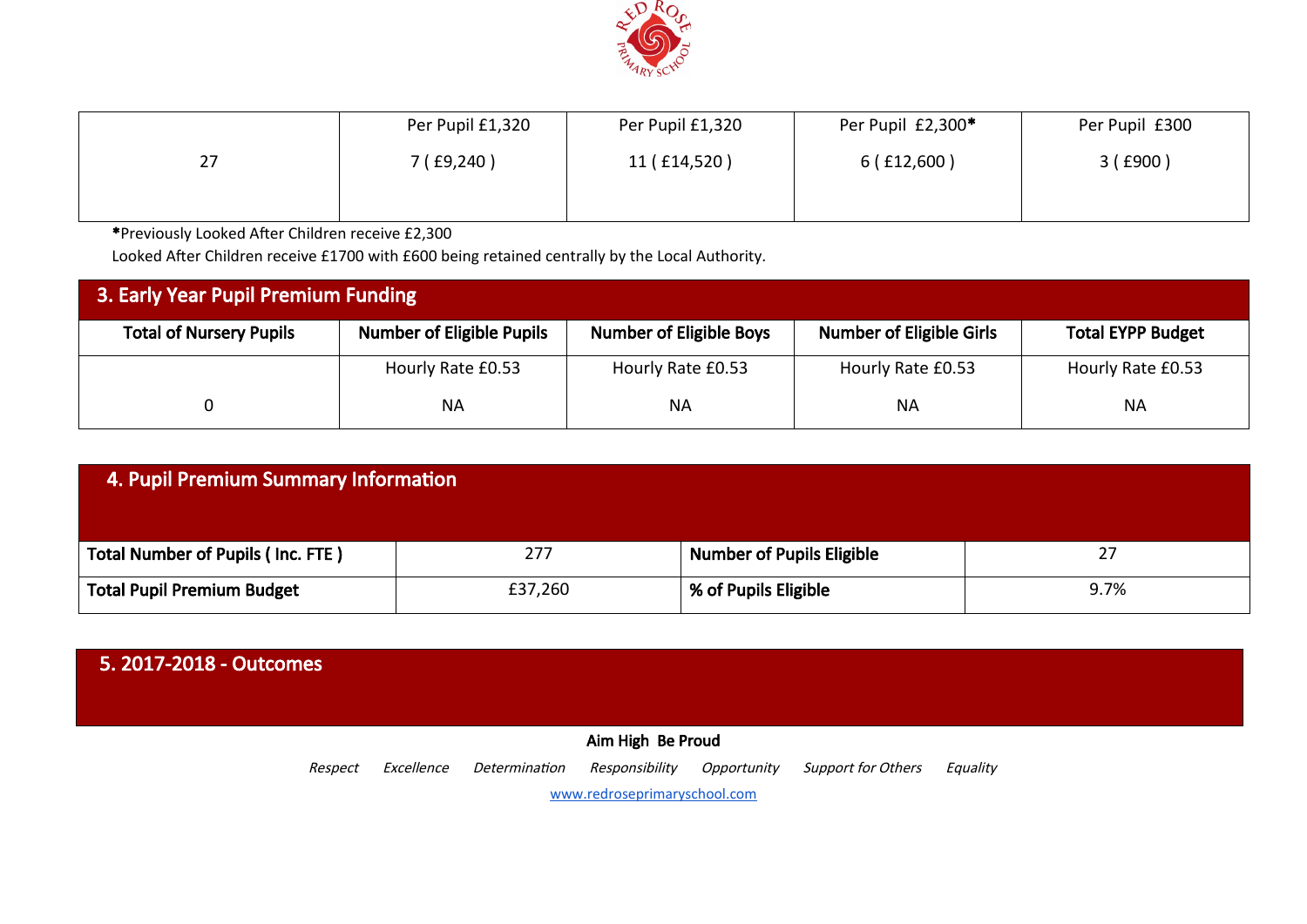

|    | Per Pupil £1,320        | Per Pupil £1,320 | Per Pupil £2,300* | Per Pupil £300 |
|----|-------------------------|------------------|-------------------|----------------|
| 27 | <sup>7</sup> ( £9,240 ) | 11 (£14,520)     | 6(f12,600)        | 3(£900)        |
|    |                         |                  |                   |                |

\*Previously Looked After Children receive £2,300

Looked After Children receive £1700 with £600 being retained centrally by the Local Authority.

| <b>3. Early Year Pupil Premium Funding</b> |                                  |                                |                                 |                          |  |  |
|--------------------------------------------|----------------------------------|--------------------------------|---------------------------------|--------------------------|--|--|
| <b>Total of Nursery Pupils</b>             | <b>Number of Eligible Pupils</b> | <b>Number of Eligible Boys</b> | <b>Number of Eligible Girls</b> | <b>Total EYPP Budget</b> |  |  |
|                                            | Hourly Rate £0.53                | Hourly Rate £0.53              | Hourly Rate £0.53               | Hourly Rate £0.53        |  |  |
|                                            | <b>NA</b>                        | <b>NA</b>                      | <b>NA</b>                       | <b>NA</b>                |  |  |

| 4. Pupil Premium Summary Information     |         |                                  |      |  |  |  |
|------------------------------------------|---------|----------------------------------|------|--|--|--|
| <b>Total Number of Pupils (Inc. FTE)</b> | 277     | <b>Number of Pupils Eligible</b> | 27   |  |  |  |
| <b>Total Pupil Premium Budget</b>        | £37,260 | % of Pupils Eligible             | 9.7% |  |  |  |

| 5.2017-2018 - Outcomes       |            |               |                   |             |                           |          |  |  |
|------------------------------|------------|---------------|-------------------|-------------|---------------------------|----------|--|--|
|                              |            |               | Aim High Be Proud |             |                           |          |  |  |
| Respect                      | Excellence | Determination | Responsibility    | Opportunity | <b>Support for Others</b> | Equality |  |  |
| www.redroseprimaryschool.com |            |               |                   |             |                           |          |  |  |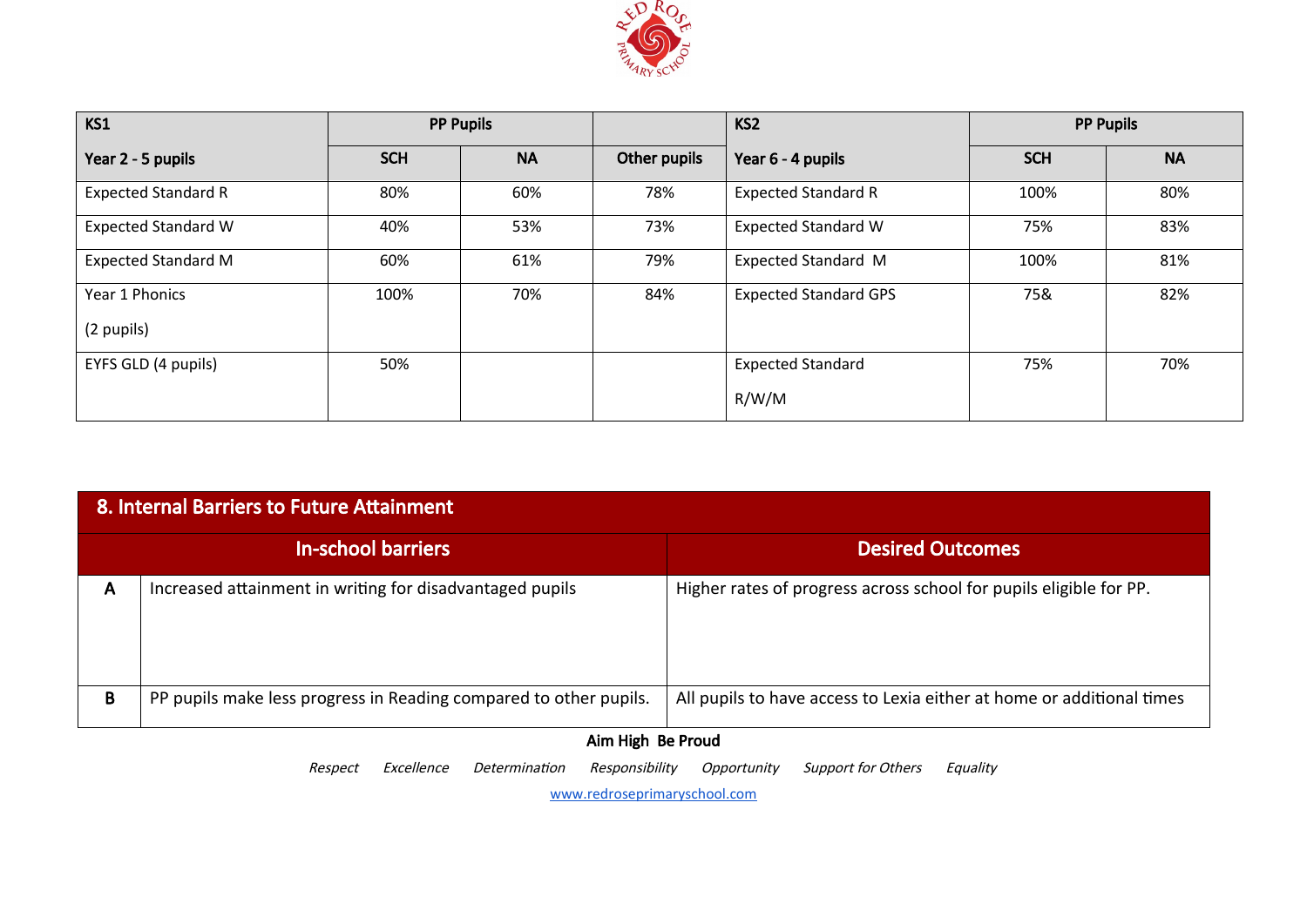

| KS1                        |            | <b>PP Pupils</b> |                          | KS <sub>2</sub>              |            | <b>PP Pupils</b> |
|----------------------------|------------|------------------|--------------------------|------------------------------|------------|------------------|
| Year 2 - 5 pupils          | <b>SCH</b> | <b>NA</b>        | Other pupils             | Year 6 - 4 pupils            | <b>SCH</b> | <b>NA</b>        |
| <b>Expected Standard R</b> | 80%        | 60%              | 78%                      | <b>Expected Standard R</b>   | 100%       | 80%              |
| <b>Expected Standard W</b> | 40%        | 53%              | 73%                      | <b>Expected Standard W</b>   | 75%        | 83%              |
| <b>Expected Standard M</b> | 60%        | 61%              | 79%                      | <b>Expected Standard M</b>   | 100%       | 81%              |
| Year 1 Phonics             | 100%       | 70%              | 84%                      | <b>Expected Standard GPS</b> | 75&        | 82%              |
| (2 pupils)                 |            |                  |                          |                              |            |                  |
| EYFS GLD (4 pupils)        | 50%        |                  | <b>Expected Standard</b> | 75%                          | 70%        |                  |
|                            |            |                  |                          | R/W/M                        |            |                  |

| 8. Internal Barriers to Future Attainment |                                                                   |                                                                       |  |  |  |  |  |
|-------------------------------------------|-------------------------------------------------------------------|-----------------------------------------------------------------------|--|--|--|--|--|
|                                           | In-school barriers                                                | <b>Desired Outcomes</b>                                               |  |  |  |  |  |
| A                                         | Increased attainment in writing for disadvantaged pupils          | Higher rates of progress across school for pupils eligible for PP.    |  |  |  |  |  |
| B                                         | PP pupils make less progress in Reading compared to other pupils. | All pupils to have access to Lexia either at home or additional times |  |  |  |  |  |
|                                           | Aim High Be Proud                                                 |                                                                       |  |  |  |  |  |

Respect Excellence Determination Responsibility Opportunity Support for Others Equality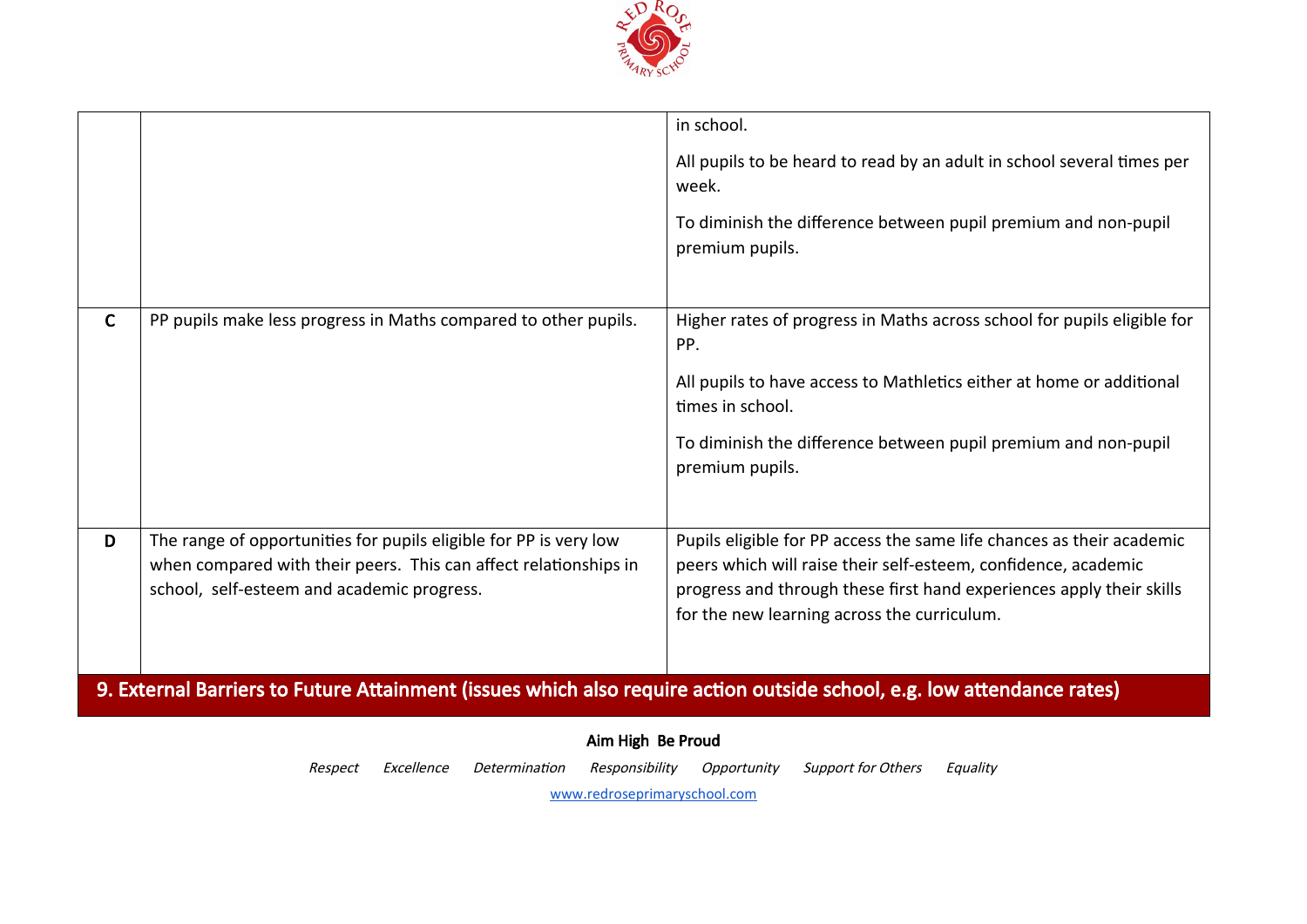

|              |                                                                                                                                                                                     | in school.                                                                                                                                                                                                                                                     |  |  |  |  |  |
|--------------|-------------------------------------------------------------------------------------------------------------------------------------------------------------------------------------|----------------------------------------------------------------------------------------------------------------------------------------------------------------------------------------------------------------------------------------------------------------|--|--|--|--|--|
|              |                                                                                                                                                                                     | All pupils to be heard to read by an adult in school several times per<br>week.                                                                                                                                                                                |  |  |  |  |  |
|              |                                                                                                                                                                                     | To diminish the difference between pupil premium and non-pupil<br>premium pupils.                                                                                                                                                                              |  |  |  |  |  |
| $\mathsf{C}$ | PP pupils make less progress in Maths compared to other pupils.                                                                                                                     | Higher rates of progress in Maths across school for pupils eligible for<br>PP.                                                                                                                                                                                 |  |  |  |  |  |
|              |                                                                                                                                                                                     | All pupils to have access to Mathletics either at home or additional<br>times in school.                                                                                                                                                                       |  |  |  |  |  |
|              |                                                                                                                                                                                     | To diminish the difference between pupil premium and non-pupil<br>premium pupils.                                                                                                                                                                              |  |  |  |  |  |
| D            | The range of opportunities for pupils eligible for PP is very low<br>when compared with their peers. This can affect relationships in<br>school, self-esteem and academic progress. | Pupils eligible for PP access the same life chances as their academic<br>peers which will raise their self-esteem, confidence, academic<br>progress and through these first hand experiences apply their skills<br>for the new learning across the curriculum. |  |  |  |  |  |
|              | 9. External Barriers to Future Attainment (issues which also require action outside school, e.g. low attendance rates)                                                              |                                                                                                                                                                                                                                                                |  |  |  |  |  |
|              | Aim High Be Proud                                                                                                                                                                   |                                                                                                                                                                                                                                                                |  |  |  |  |  |

Respect Excellence Determination Responsibility Opportunity Support for Others Equality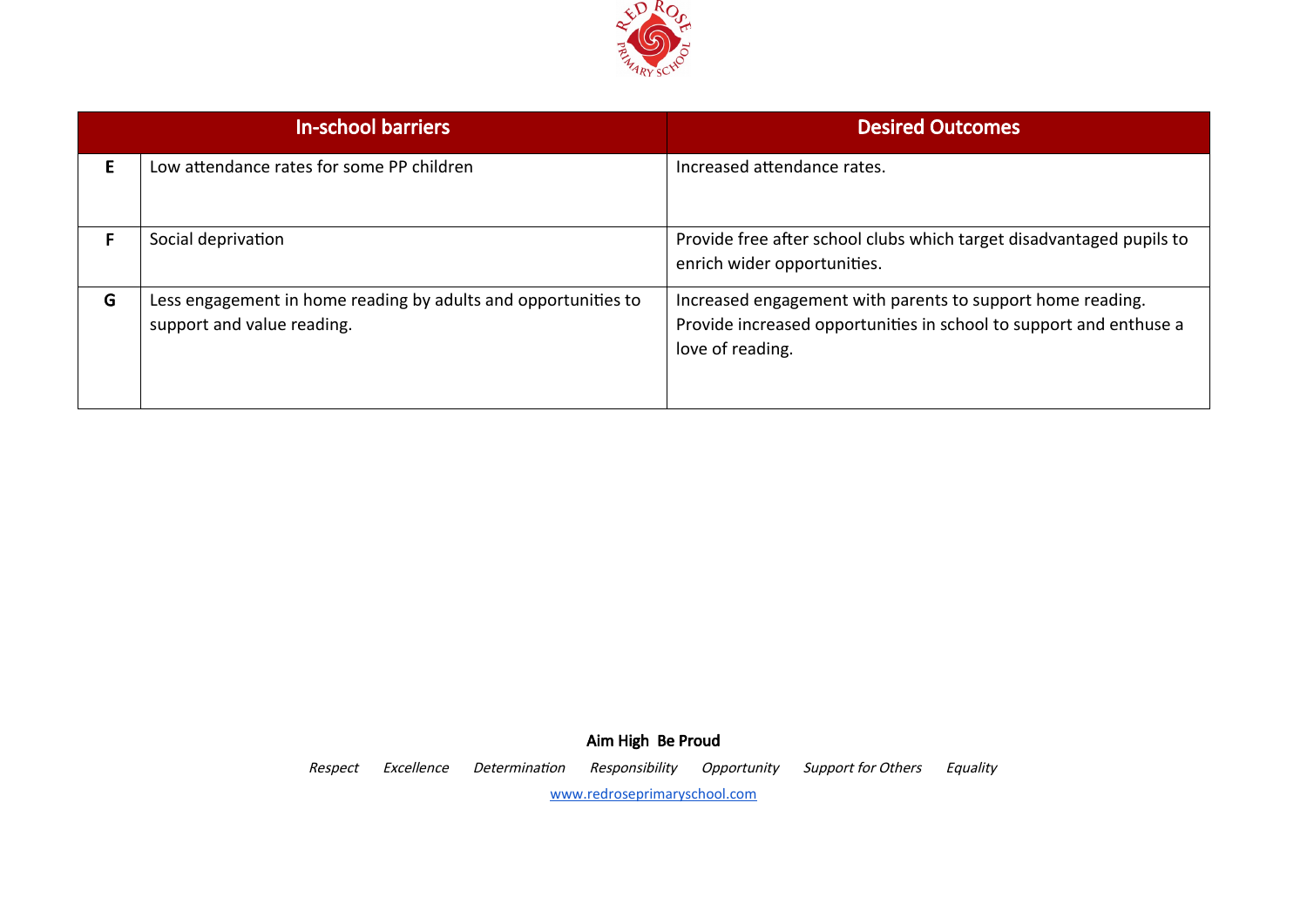

|   | <b>In-school barriers</b>                                                                    | <b>Desired Outcomes</b>                                                                                                                              |
|---|----------------------------------------------------------------------------------------------|------------------------------------------------------------------------------------------------------------------------------------------------------|
| F | Low attendance rates for some PP children                                                    | Increased attendance rates.                                                                                                                          |
| F | Social deprivation                                                                           | Provide free after school clubs which target disadvantaged pupils to<br>enrich wider opportunities.                                                  |
| G | Less engagement in home reading by adults and opportunities to<br>support and value reading. | Increased engagement with parents to support home reading.<br>Provide increased opportunities in school to support and enthuse a<br>love of reading. |

Aim High Be Proud Respect Excellence Determination Responsibility Opportunity Support for Others Equality [www.redroseprimaryschool.com](http://www.redroseprimaryschool.com/)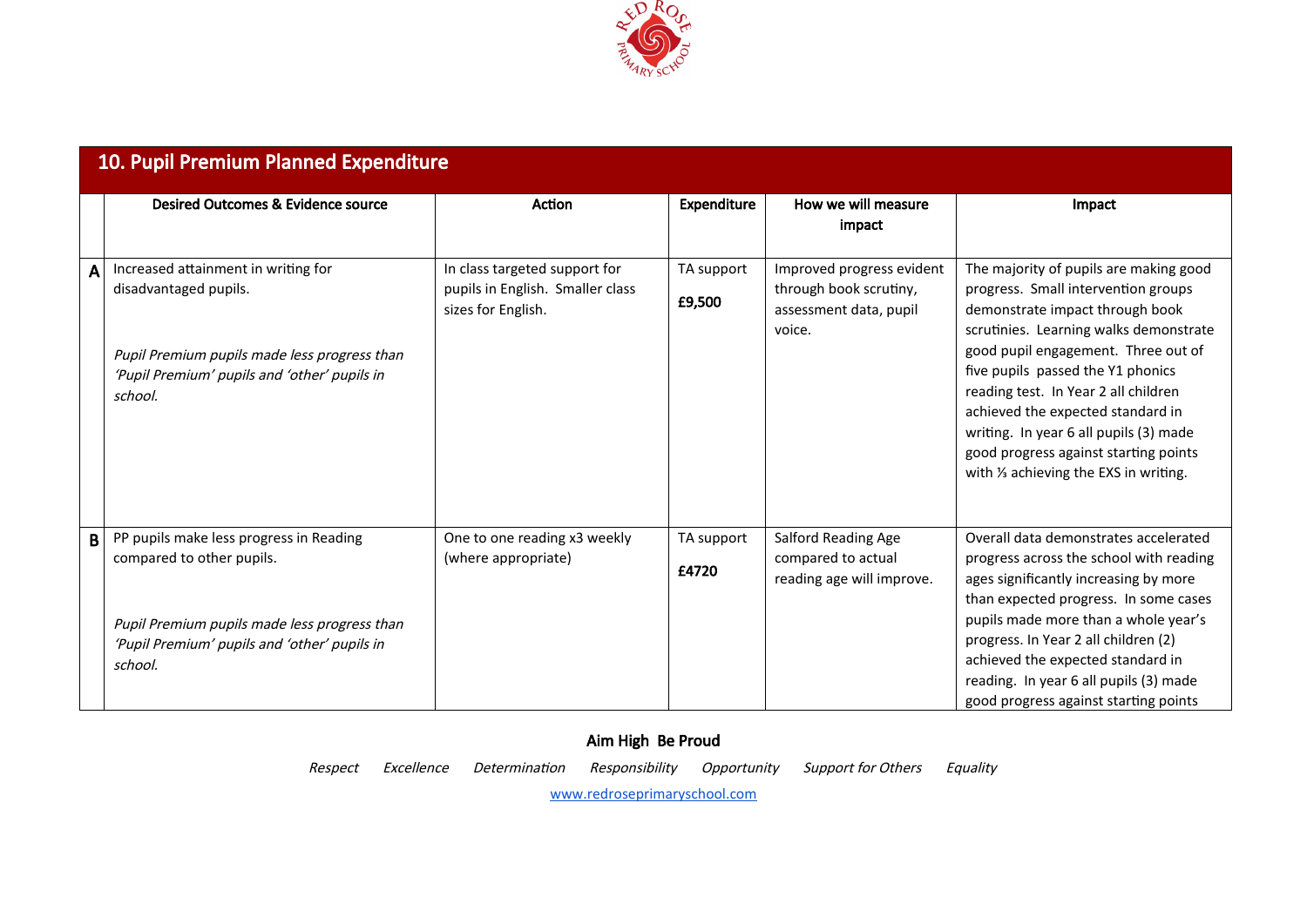

|   | Desired Outcomes & Evidence source                                                                                                                                              | Action                                                                                  | <b>Expenditure</b>   | How we will measure<br>impact                                                           | Impact                                                                                                                                                                                                                                                                                                                                                                                                                                           |
|---|---------------------------------------------------------------------------------------------------------------------------------------------------------------------------------|-----------------------------------------------------------------------------------------|----------------------|-----------------------------------------------------------------------------------------|--------------------------------------------------------------------------------------------------------------------------------------------------------------------------------------------------------------------------------------------------------------------------------------------------------------------------------------------------------------------------------------------------------------------------------------------------|
| A | Increased attainment in writing for<br>disadvantaged pupils.<br>Pupil Premium pupils made less progress than<br>'Pupil Premium' pupils and 'other' pupils in<br>school.         | In class targeted support for<br>pupils in English. Smaller class<br>sizes for English. | TA support<br>£9,500 | Improved progress evident<br>through book scrutiny,<br>assessment data, pupil<br>voice. | The majority of pupils are making good<br>progress. Small intervention groups<br>demonstrate impact through book<br>scrutinies. Learning walks demonstrate<br>good pupil engagement. Three out of<br>five pupils passed the Y1 phonics<br>reading test. In Year 2 all children<br>achieved the expected standard in<br>writing. In year 6 all pupils (3) made<br>good progress against starting points<br>with 1/3 achieving the EXS in writing. |
| B | PP pupils make less progress in Reading<br>compared to other pupils.<br>Pupil Premium pupils made less progress than<br>'Pupil Premium' pupils and 'other' pupils in<br>school. | One to one reading x3 weekly<br>(where appropriate)                                     | TA support<br>£4720  | Salford Reading Age<br>compared to actual<br>reading age will improve.                  | Overall data demonstrates accelerated<br>progress across the school with reading<br>ages significantly increasing by more<br>than expected progress. In some cases<br>pupils made more than a whole year's<br>progress. In Year 2 all children (2)<br>achieved the expected standard in<br>reading. In year 6 all pupils (3) made<br>good progress against starting points                                                                       |

Respect Excellence Determination Responsibility Opportunity Support for Others Equality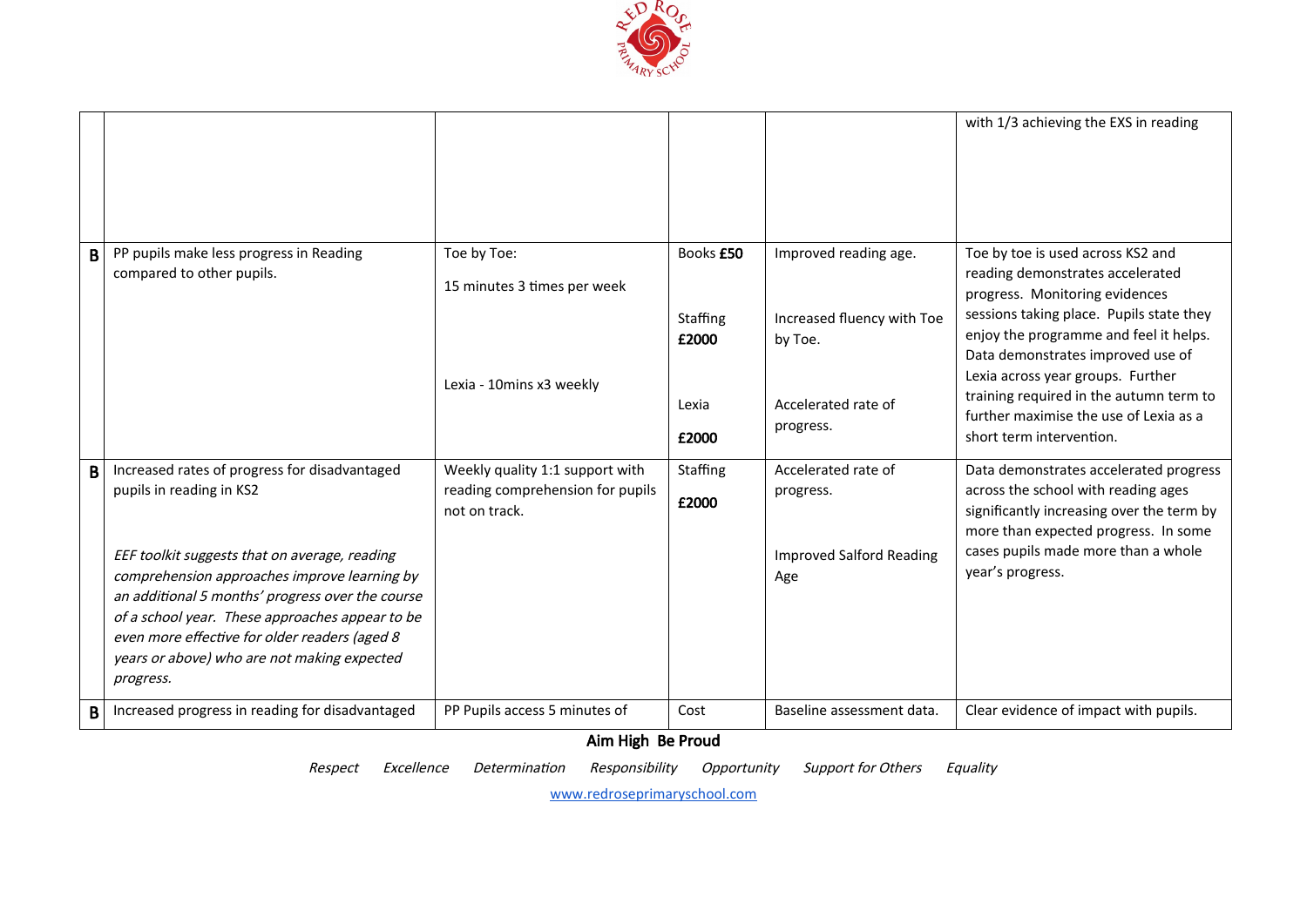

|   |                                                                                                                                                                                                                                                                                                                                                                                                |                                                                                                                    |                                                  |                                                                                                    | with 1/3 achieving the EXS in reading                                                                                                                                                                                                                                                                                                                                                    |
|---|------------------------------------------------------------------------------------------------------------------------------------------------------------------------------------------------------------------------------------------------------------------------------------------------------------------------------------------------------------------------------------------------|--------------------------------------------------------------------------------------------------------------------|--------------------------------------------------|----------------------------------------------------------------------------------------------------|------------------------------------------------------------------------------------------------------------------------------------------------------------------------------------------------------------------------------------------------------------------------------------------------------------------------------------------------------------------------------------------|
| B | PP pupils make less progress in Reading<br>compared to other pupils.                                                                                                                                                                                                                                                                                                                           | Toe by Toe:<br>15 minutes 3 times per week<br>Lexia - 10mins x3 weekly                                             | Books £50<br>Staffing<br>£2000<br>Lexia<br>£2000 | Improved reading age.<br>Increased fluency with Toe<br>by Toe.<br>Accelerated rate of<br>progress. | Toe by toe is used across KS2 and<br>reading demonstrates accelerated<br>progress. Monitoring evidences<br>sessions taking place. Pupils state they<br>enjoy the programme and feel it helps.<br>Data demonstrates improved use of<br>Lexia across year groups. Further<br>training required in the autumn term to<br>further maximise the use of Lexia as a<br>short term intervention. |
| B | Increased rates of progress for disadvantaged<br>pupils in reading in KS2<br>EEF toolkit suggests that on average, reading<br>comprehension approaches improve learning by<br>an additional 5 months' progress over the course<br>of a school year. These approaches appear to be<br>even more effective for older readers (aged 8<br>years or above) who are not making expected<br>progress. | Weekly quality 1:1 support with<br>reading comprehension for pupils<br>not on track.                               | Staffing<br>£2000                                | Accelerated rate of<br>progress.<br><b>Improved Salford Reading</b><br>Age                         | Data demonstrates accelerated progress<br>across the school with reading ages<br>significantly increasing over the term by<br>more than expected progress. In some<br>cases pupils made more than a whole<br>year's progress.                                                                                                                                                            |
| B | Increased progress in reading for disadvantaged                                                                                                                                                                                                                                                                                                                                                | PP Pupils access 5 minutes of                                                                                      | Cost                                             | Baseline assessment data.                                                                          | Clear evidence of impact with pupils.                                                                                                                                                                                                                                                                                                                                                    |
|   |                                                                                                                                                                                                                                                                                                                                                                                                | $\mathbf{A}$ and $\mathbf{A}$ and $\mathbf{A}$ and $\mathbf{A}$ and $\mathbf{A}$ and $\mathbf{A}$ and $\mathbf{A}$ |                                                  |                                                                                                    |                                                                                                                                                                                                                                                                                                                                                                                          |

Respect Excellence Determination Responsibility Opportunity Support for Others Equality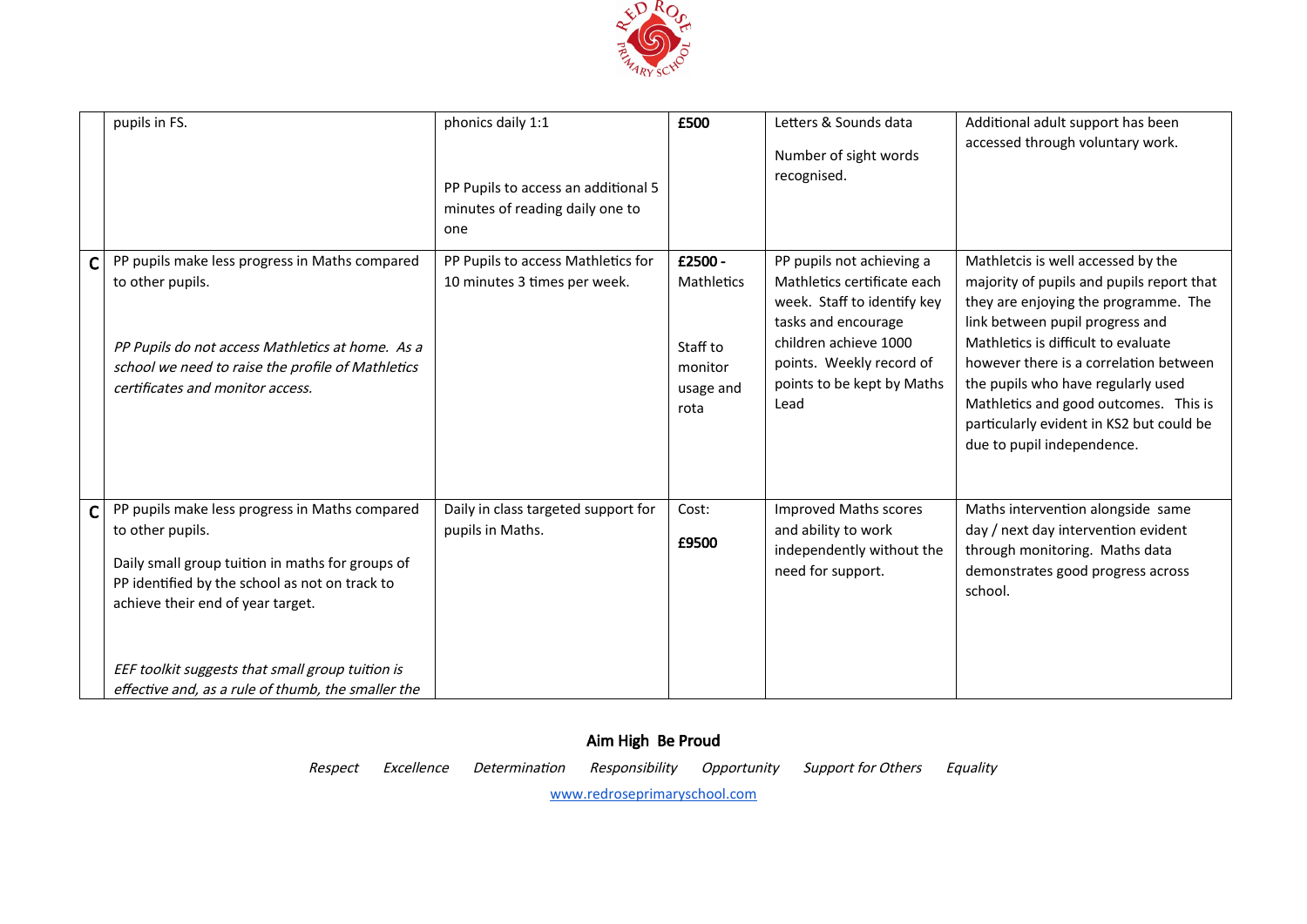

|              | pupils in FS.                                                                                                                                                                                                                                                                                                           | phonics daily 1:1<br>PP Pupils to access an additional 5<br>minutes of reading daily one to<br>one | £500                                                              | Letters & Sounds data<br>Number of sight words<br>recognised.                                                                                                                                             | Additional adult support has been<br>accessed through voluntary work.                                                                                                                                                                                                                                                                                                                                |
|--------------|-------------------------------------------------------------------------------------------------------------------------------------------------------------------------------------------------------------------------------------------------------------------------------------------------------------------------|----------------------------------------------------------------------------------------------------|-------------------------------------------------------------------|-----------------------------------------------------------------------------------------------------------------------------------------------------------------------------------------------------------|------------------------------------------------------------------------------------------------------------------------------------------------------------------------------------------------------------------------------------------------------------------------------------------------------------------------------------------------------------------------------------------------------|
| $\mathsf{C}$ | PP pupils make less progress in Maths compared<br>to other pupils.<br>PP Pupils do not access Mathletics at home. As a<br>school we need to raise the profile of Mathletics<br>certificates and monitor access.                                                                                                         | PP Pupils to access Mathletics for<br>10 minutes 3 times per week.                                 | £2500 -<br>Mathletics<br>Staff to<br>monitor<br>usage and<br>rota | PP pupils not achieving a<br>Mathletics certificate each<br>week. Staff to identify key<br>tasks and encourage<br>children achieve 1000<br>points. Weekly record of<br>points to be kept by Maths<br>Lead | Mathletcis is well accessed by the<br>majority of pupils and pupils report that<br>they are enjoying the programme. The<br>link between pupil progress and<br>Mathletics is difficult to evaluate<br>however there is a correlation between<br>the pupils who have regularly used<br>Mathletics and good outcomes. This is<br>particularly evident in KS2 but could be<br>due to pupil independence. |
| $\mathsf{C}$ | PP pupils make less progress in Maths compared<br>to other pupils.<br>Daily small group tuition in maths for groups of<br>PP identified by the school as not on track to<br>achieve their end of year target.<br>EEF toolkit suggests that small group tuition is<br>effective and, as a rule of thumb, the smaller the | Daily in class targeted support for<br>pupils in Maths.                                            | Cost:<br>£9500                                                    | <b>Improved Maths scores</b><br>and ability to work<br>independently without the<br>need for support.                                                                                                     | Maths intervention alongside same<br>day / next day intervention evident<br>through monitoring. Maths data<br>demonstrates good progress across<br>school.                                                                                                                                                                                                                                           |

### Aim High Be Proud Respect Excellence Determination Responsibility Opportunity Support for Others Equality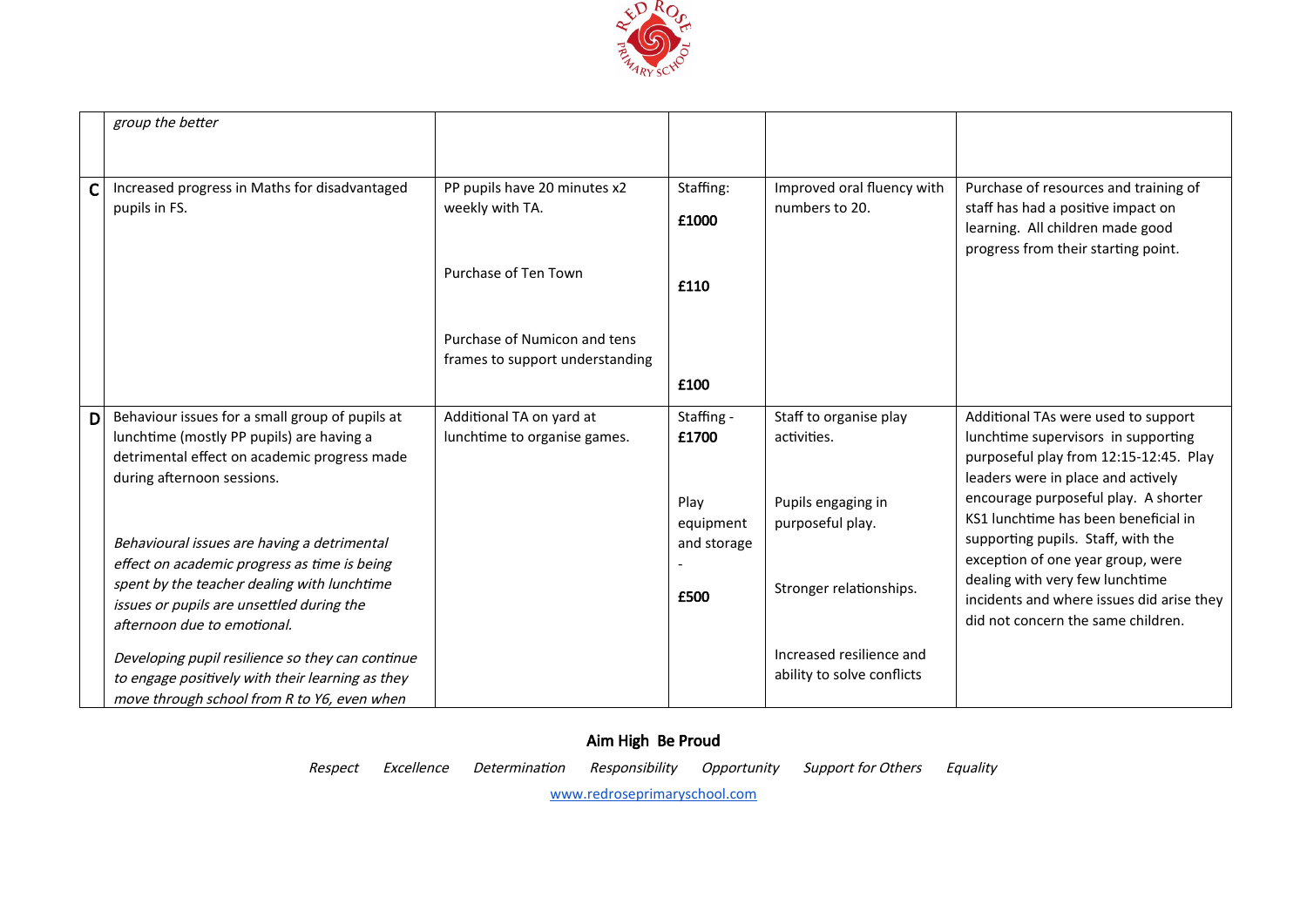

|   | group the better                                 |                                 |                          |                            |                                                                              |
|---|--------------------------------------------------|---------------------------------|--------------------------|----------------------------|------------------------------------------------------------------------------|
|   |                                                  |                                 |                          |                            |                                                                              |
|   |                                                  |                                 |                          |                            |                                                                              |
| Ć | Increased progress in Maths for disadvantaged    | PP pupils have 20 minutes x2    | Staffing:                | Improved oral fluency with | Purchase of resources and training of                                        |
|   | pupils in FS.                                    | weekly with TA.                 | £1000                    | numbers to 20.             | staff has had a positive impact on                                           |
|   |                                                  |                                 |                          |                            | learning. All children made good                                             |
|   |                                                  |                                 |                          |                            | progress from their starting point.                                          |
|   |                                                  | Purchase of Ten Town            | £110                     |                            |                                                                              |
|   |                                                  |                                 |                          |                            |                                                                              |
|   |                                                  | Purchase of Numicon and tens    |                          |                            |                                                                              |
|   |                                                  | frames to support understanding |                          |                            |                                                                              |
|   |                                                  |                                 | £100                     |                            |                                                                              |
|   |                                                  |                                 |                          |                            |                                                                              |
| D | Behaviour issues for a small group of pupils at  | Additional TA on yard at        | Staffing -               | Staff to organise play     | Additional TAs were used to support                                          |
|   | lunchtime (mostly PP pupils) are having a        | lunchtime to organise games.    | £1700                    | activities.                | lunchtime supervisors in supporting                                          |
|   | detrimental effect on academic progress made     |                                 |                          |                            | purposeful play from 12:15-12:45. Play<br>leaders were in place and actively |
|   | during afternoon sessions.                       |                                 |                          |                            | encourage purposeful play. A shorter                                         |
|   |                                                  |                                 | Play                     | Pupils engaging in         | KS1 lunchtime has been beneficial in                                         |
|   | Behavioural issues are having a detrimental      |                                 | equipment<br>and storage | purposeful play.           | supporting pupils. Staff, with the                                           |
|   | effect on academic progress as time is being     |                                 |                          |                            | exception of one year group, were                                            |
|   | spent by the teacher dealing with lunchtime      |                                 |                          | Stronger relationships.    | dealing with very few lunchtime                                              |
|   | issues or pupils are unsettled during the        |                                 | £500                     |                            | incidents and where issues did arise they                                    |
|   | afternoon due to emotional.                      |                                 |                          |                            | did not concern the same children.                                           |
|   | Developing pupil resilience so they can continue |                                 |                          | Increased resilience and   |                                                                              |
|   | to engage positively with their learning as they |                                 |                          | ability to solve conflicts |                                                                              |
|   | move through school from R to Y6, even when      |                                 |                          |                            |                                                                              |

Respect Excellence Determination Responsibility Opportunity Support for Others Equality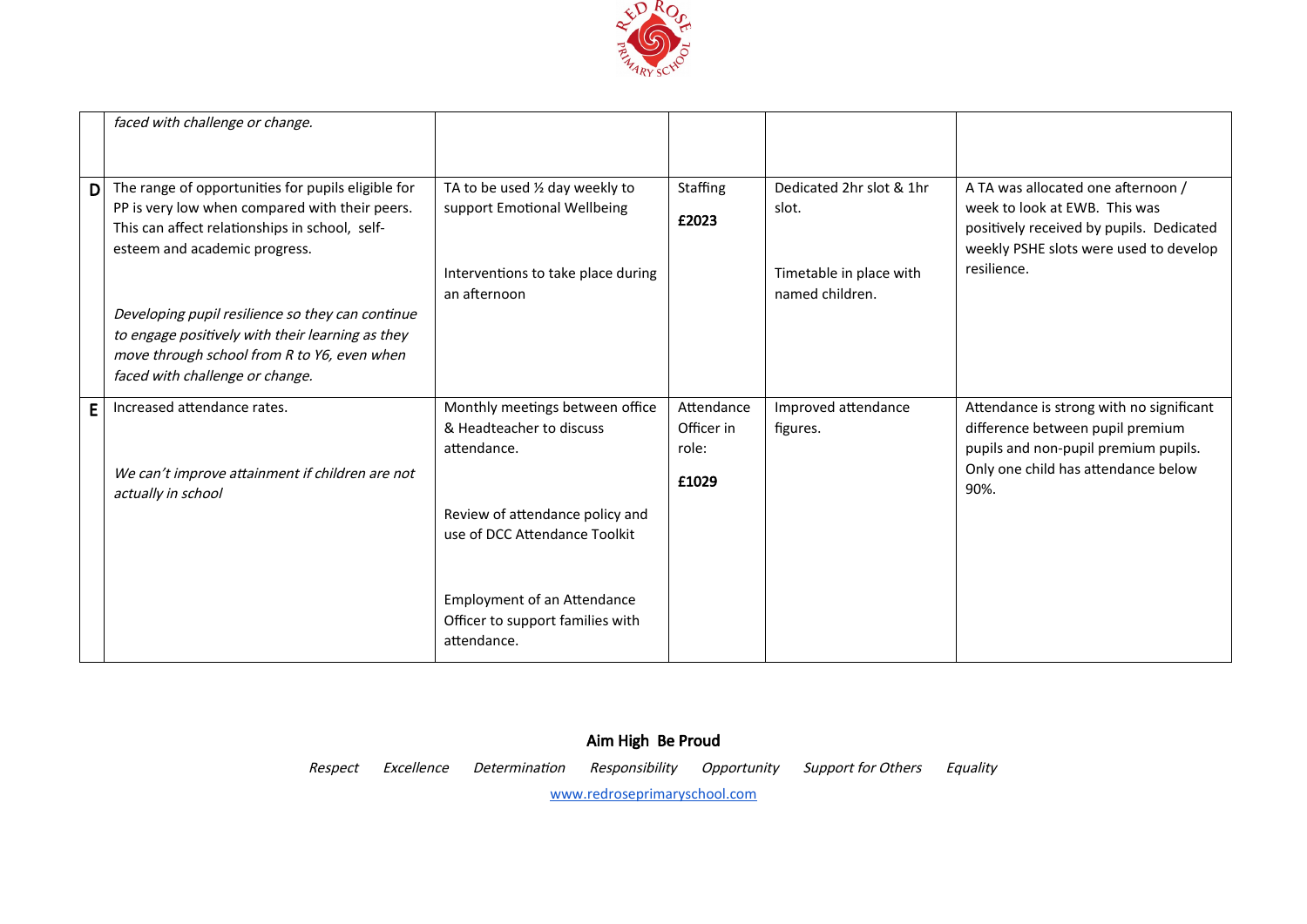

|   | faced with challenge or change.                                                                                                                                                         |                                                                                                                      |                                   |                                                                                 |                                                                                                                                                                          |
|---|-----------------------------------------------------------------------------------------------------------------------------------------------------------------------------------------|----------------------------------------------------------------------------------------------------------------------|-----------------------------------|---------------------------------------------------------------------------------|--------------------------------------------------------------------------------------------------------------------------------------------------------------------------|
| D | The range of opportunities for pupils eligible for<br>PP is very low when compared with their peers.<br>This can affect relationships in school, self-<br>esteem and academic progress. | TA to be used 1/2 day weekly to<br>support Emotional Wellbeing<br>Interventions to take place during<br>an afternoon | Staffing<br>£2023                 | Dedicated 2hr slot & 1hr<br>slot.<br>Timetable in place with<br>named children. | A TA was allocated one afternoon /<br>week to look at EWB. This was<br>positively received by pupils. Dedicated<br>weekly PSHE slots were used to develop<br>resilience. |
|   | Developing pupil resilience so they can continue<br>to engage positively with their learning as they<br>move through school from R to Y6, even when<br>faced with challenge or change.  |                                                                                                                      |                                   |                                                                                 |                                                                                                                                                                          |
| E | Increased attendance rates.                                                                                                                                                             | Monthly meetings between office<br>& Headteacher to discuss<br>attendance.                                           | Attendance<br>Officer in<br>role: | Improved attendance<br>figures.                                                 | Attendance is strong with no significant<br>difference between pupil premium<br>pupils and non-pupil premium pupils.                                                     |
|   | We can't improve attainment if children are not<br>actually in school                                                                                                                   | Review of attendance policy and<br>use of DCC Attendance Toolkit                                                     | £1029                             |                                                                                 | Only one child has attendance below<br>90%.                                                                                                                              |
|   |                                                                                                                                                                                         | <b>Employment of an Attendance</b>                                                                                   |                                   |                                                                                 |                                                                                                                                                                          |
|   |                                                                                                                                                                                         | Officer to support families with<br>attendance.                                                                      |                                   |                                                                                 |                                                                                                                                                                          |

# Aim High Be Proud Respect Excellence Determination Responsibility Opportunity Support for Others Equality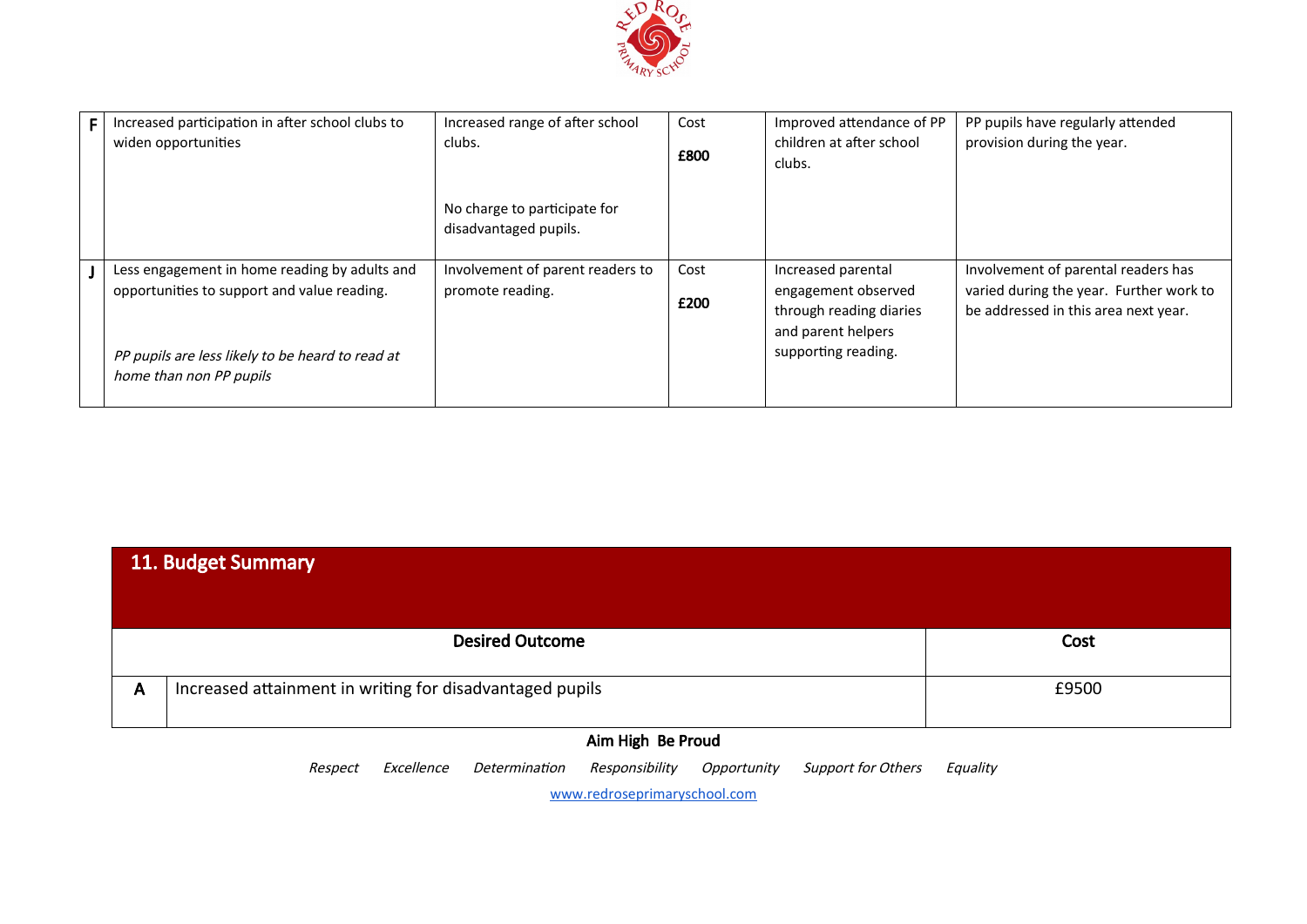

| F. | Increased participation in after school clubs to | Increased range of after school  | Cost | Improved attendance of PP | PP pupils have regularly attended       |
|----|--------------------------------------------------|----------------------------------|------|---------------------------|-----------------------------------------|
|    | widen opportunities                              | clubs.                           |      | children at after school  | provision during the year.              |
|    |                                                  |                                  | £800 | clubs.                    |                                         |
|    |                                                  |                                  |      |                           |                                         |
|    |                                                  | No charge to participate for     |      |                           |                                         |
|    |                                                  | disadvantaged pupils.            |      |                           |                                         |
|    |                                                  |                                  |      |                           |                                         |
|    | Less engagement in home reading by adults and    | Involvement of parent readers to | Cost | Increased parental        | Involvement of parental readers has     |
|    | opportunities to support and value reading.      | promote reading.                 | £200 | engagement observed       | varied during the year. Further work to |
|    |                                                  |                                  |      | through reading diaries   | be addressed in this area next year.    |
|    |                                                  |                                  |      | and parent helpers        |                                         |
|    | PP pupils are less likely to be heard to read at |                                  |      | supporting reading.       |                                         |
|    |                                                  |                                  |      |                           |                                         |
|    | home than non PP pupils                          |                                  |      |                           |                                         |

| 11. Budget Summary                                                       |       |  |  |  |
|--------------------------------------------------------------------------|-------|--|--|--|
| <b>Desired Outcome</b>                                                   | Cost  |  |  |  |
| Increased attainment in writing for disadvantaged pupils<br>$\mathsf{A}$ | £9500 |  |  |  |

Respect Excellence Determination Responsibility Opportunity Support for Others Equality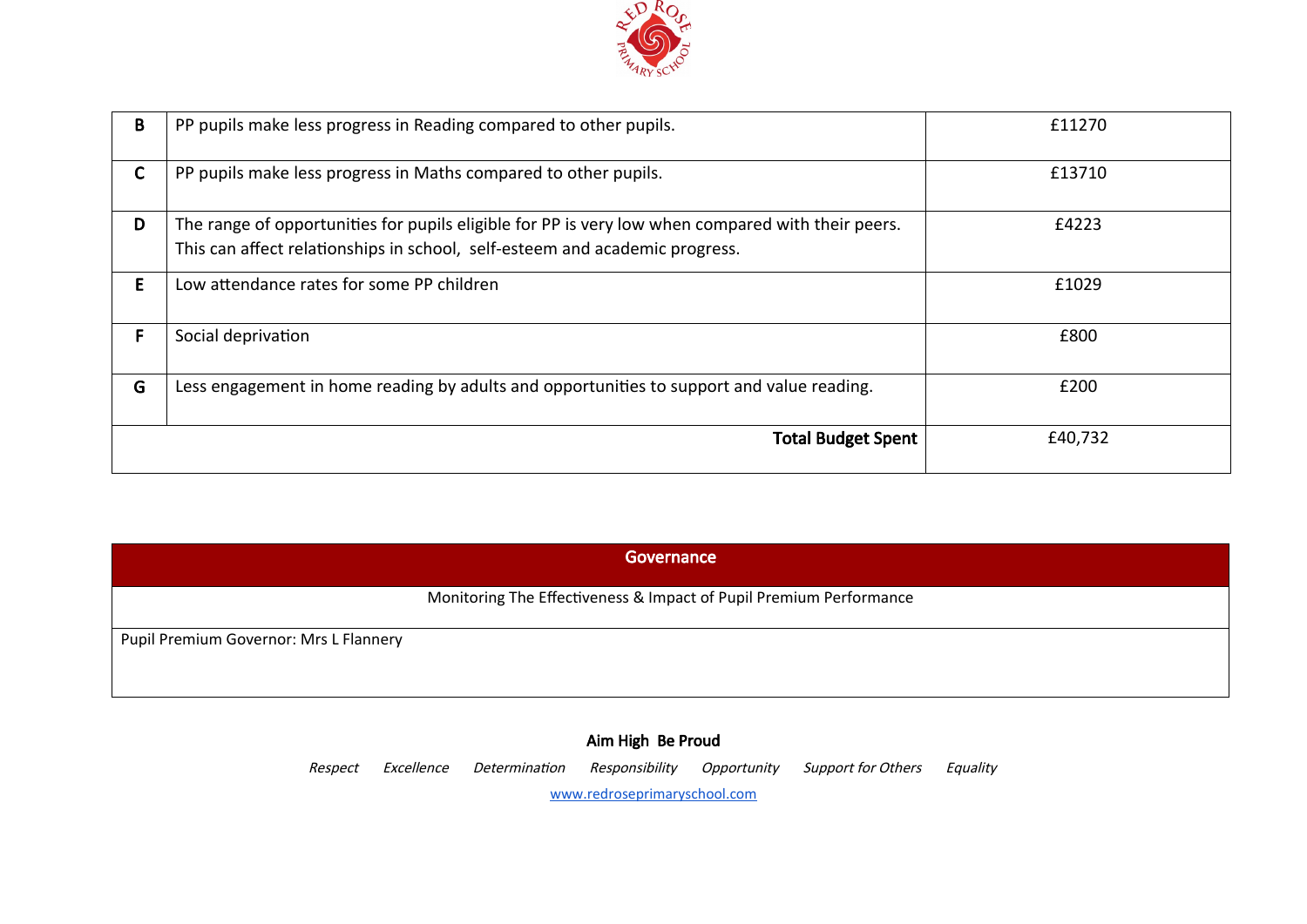

| B | PP pupils make less progress in Reading compared to other pupils.                                                                                                                | £11270  |
|---|----------------------------------------------------------------------------------------------------------------------------------------------------------------------------------|---------|
| C | PP pupils make less progress in Maths compared to other pupils.                                                                                                                  | £13710  |
| D | The range of opportunities for pupils eligible for PP is very low when compared with their peers.<br>This can affect relationships in school, self-esteem and academic progress. | £4223   |
| E | Low attendance rates for some PP children                                                                                                                                        | £1029   |
| F | Social deprivation                                                                                                                                                               | £800    |
| G | Less engagement in home reading by adults and opportunities to support and value reading.                                                                                        | £200    |
|   | <b>Total Budget Spent</b>                                                                                                                                                        | £40,732 |

| Governance                             |                                                                    |  |  |  |
|----------------------------------------|--------------------------------------------------------------------|--|--|--|
|                                        | Monitoring The Effectiveness & Impact of Pupil Premium Performance |  |  |  |
| Pupil Premium Governor: Mrs L Flannery |                                                                    |  |  |  |

Respect Excellence Determination Responsibility Opportunity Support for Others Equality